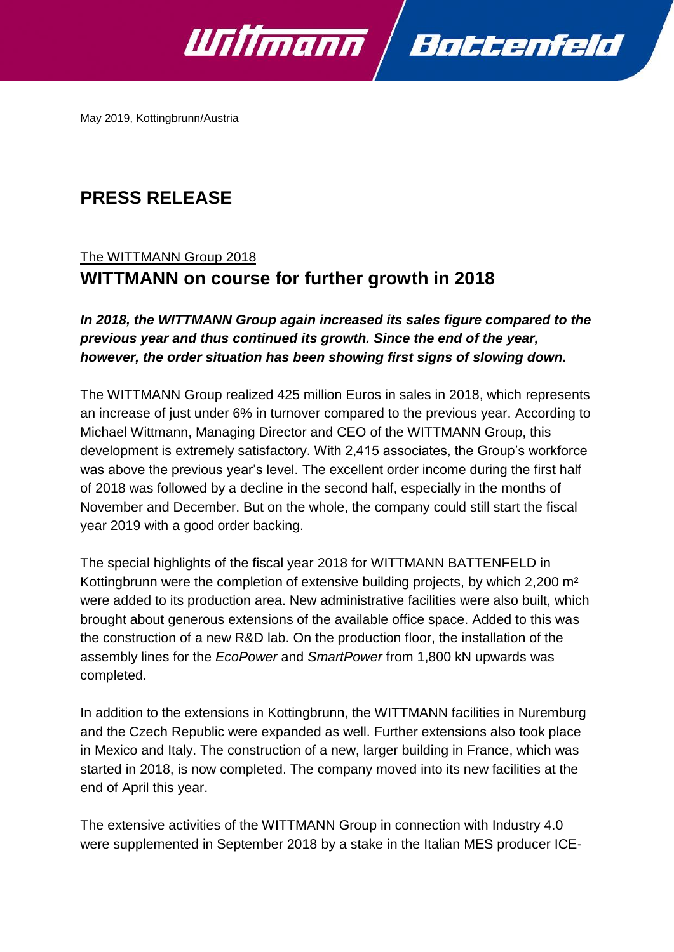

May 2019, Kottingbrunn/Austria

# **PRESS RELEASE**

## The WITTMANN Group 2018 **WITTMANN on course for further growth in 2018**

### *In 2018, the WITTMANN Group again increased its sales figure compared to the previous year and thus continued its growth. Since the end of the year, however, the order situation has been showing first signs of slowing down.*

The WITTMANN Group realized 425 million Euros in sales in 2018, which represents an increase of just under 6% in turnover compared to the previous year. According to Michael Wittmann, Managing Director and CEO of the WITTMANN Group, this development is extremely satisfactory. With 2,415 associates, the Group's workforce was above the previous year's level. The excellent order income during the first half of 2018 was followed by a decline in the second half, especially in the months of November and December. But on the whole, the company could still start the fiscal year 2019 with a good order backing.

The special highlights of the fiscal year 2018 for WITTMANN BATTENFELD in Kottingbrunn were the completion of extensive building projects, by which 2,200 m² were added to its production area. New administrative facilities were also built, which brought about generous extensions of the available office space. Added to this was the construction of a new R&D lab. On the production floor, the installation of the assembly lines for the *EcoPower* and *SmartPower* from 1,800 kN upwards was completed.

In addition to the extensions in Kottingbrunn, the WITTMANN facilities in Nuremburg and the Czech Republic were expanded as well. Further extensions also took place in Mexico and Italy. The construction of a new, larger building in France, which was started in 2018, is now completed. The company moved into its new facilities at the end of April this year.

The extensive activities of the WITTMANN Group in connection with Industry 4.0 were supplemented in September 2018 by a stake in the Italian MES producer ICE-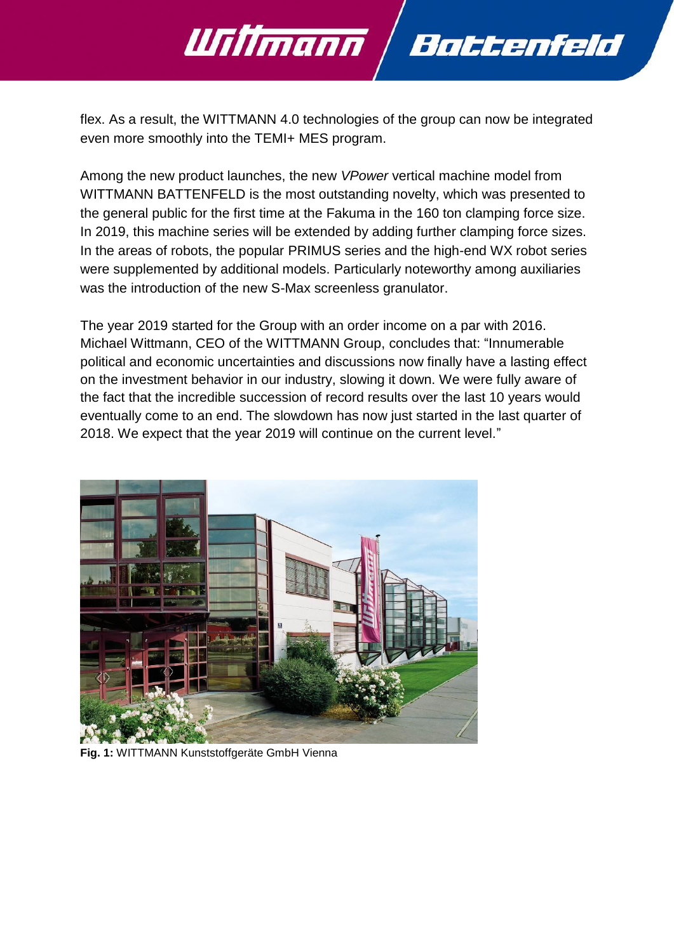flex. As a result, the WITTMANN 4.0 technologies of the group can now be integrated even more smoothly into the TEMI+ MES program.

Battenfeld

Willmann

Among the new product launches, the new *VPower* vertical machine model from WITTMANN BATTENFELD is the most outstanding novelty, which was presented to the general public for the first time at the Fakuma in the 160 ton clamping force size. In 2019, this machine series will be extended by adding further clamping force sizes. In the areas of robots, the popular PRIMUS series and the high-end WX robot series were supplemented by additional models. Particularly noteworthy among auxiliaries was the introduction of the new S-Max screenless granulator.

The year 2019 started for the Group with an order income on a par with 2016. Michael Wittmann, CEO of the WITTMANN Group, concludes that: "Innumerable political and economic uncertainties and discussions now finally have a lasting effect on the investment behavior in our industry, slowing it down. We were fully aware of the fact that the incredible succession of record results over the last 10 years would eventually come to an end. The slowdown has now just started in the last quarter of 2018. We expect that the year 2019 will continue on the current level."



**Fig. 1:** WITTMANN Kunststoffgeräte GmbH Vienna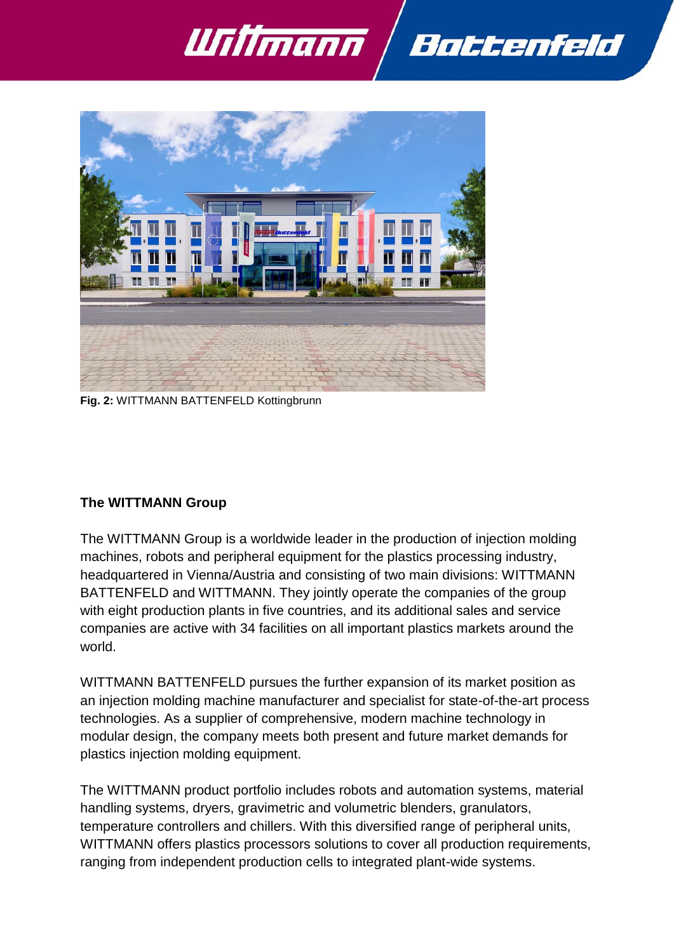



**Fig. 2:** WITTMANN BATTENFELD Kottingbrunn

#### **The WITTMANN Group**

The WITTMANN Group is a worldwide leader in the production of injection molding machines, robots and peripheral equipment for the plastics processing industry, headquartered in Vienna/Austria and consisting of two main divisions: WITTMANN BATTENFELD and WITTMANN. They jointly operate the companies of the group with eight production plants in five countries, and its additional sales and service companies are active with 34 facilities on all important plastics markets around the world.

WITTMANN BATTENFELD pursues the further expansion of its market position as an injection molding machine manufacturer and specialist for state-of-the-art process technologies. As a supplier of comprehensive, modern machine technology in modular design, the company meets both present and future market demands for plastics injection molding equipment.

The WITTMANN product portfolio includes robots and automation systems, material handling systems, dryers, gravimetric and volumetric blenders, granulators, temperature controllers and chillers. With this diversified range of peripheral units, WITTMANN offers plastics processors solutions to cover all production requirements, ranging from independent production cells to integrated plant-wide systems.